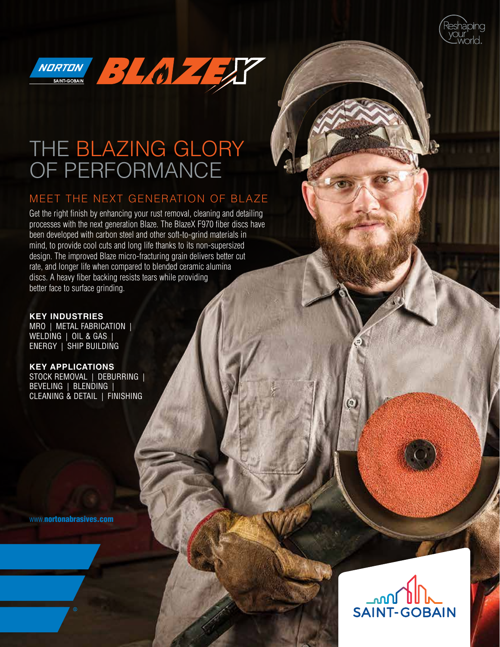



# THE BLAZING GLORY OF PERFORMANCE

## MEET THE NEXT GENERATION OF BLAZE

Get the right finish by enhancing your rust removal, cleaning and detailing processes with the next generation Blaze. The BlazeX F970 fiber discs have been developed with carbon steel and other soft-to-grind materials in mind, to provide cool cuts and long life thanks to its non-supersized design. The improved Blaze micro-fracturing grain delivers better cut rate, and longer life when compared to blended ceramic alumina discs. A heavy fiber backing resists tears while providing better face to surface grinding.

**KEY INDUSTRIES** MRO | METAL FABRICATION | WELDING | OIL & GAS | ENERGY | SHIP BUILDING

**KEY APPLICATIONS** STOCK REMOVAL | DEBURRING | BEVELING | BLENDING | CLEANING & DETAIL | FINISHING

www.[nortonabrasives.com](http://www.nortonabrasives.com/en-us)